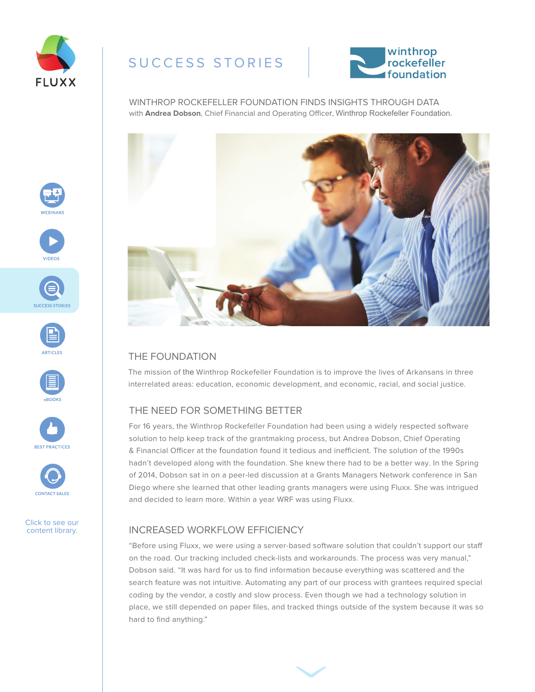

## SUCCESS STORIES



WINTHROP ROCKEFELLER FOUNDATION FINDS INSIGHTS THROUGH DATA with **Andrea Dobson**, Chief Financial and Operating Officer, Winthrop Rockefeller Foundation.



## THE FOUNDATION

The mission of the Winthrop Rockefeller Foundation is to improve the lives of Arkansans in three interrelated areas: education, economic development, and economic, racial, and social justice.

### THE NEED FOR SOMETHING BETTER

For 16 years, the Winthrop Rockefeller Foundation had been using a widely respected software solution to help keep track of the grantmaking process, but Andrea Dobson, Chief Operating & Financial Officer at the foundation found it tedious and inefficient. The solution of the 1990s hadn't developed along with the foundation. She knew there had to be a better way. In the Spring of 2014, Dobson sat in on a peer-led discussion at a Grants Managers Network conference in San Diego where she learned that other leading grants managers were using Fluxx. She was intrigued and decided to learn more. Within a year WRF was using Fluxx.

### INCREASED WORKFLOW EFFICIENCY

"Before using Fluxx, we were using a server-based software solution that couldn't support our staff on the road. Our tracking included check-lists and workarounds. The process was very manual," Dobson said. "It was hard for us to find information because everything was scattered and the search feature was not intuitive. Automating any part of our process with grantees required special coding by the vendor, a costly and slow process. Even though we had a technology solution in place, we still depended on paper files, and tracked things outside of the system because it was so hard to find anything."















Click to see our content library.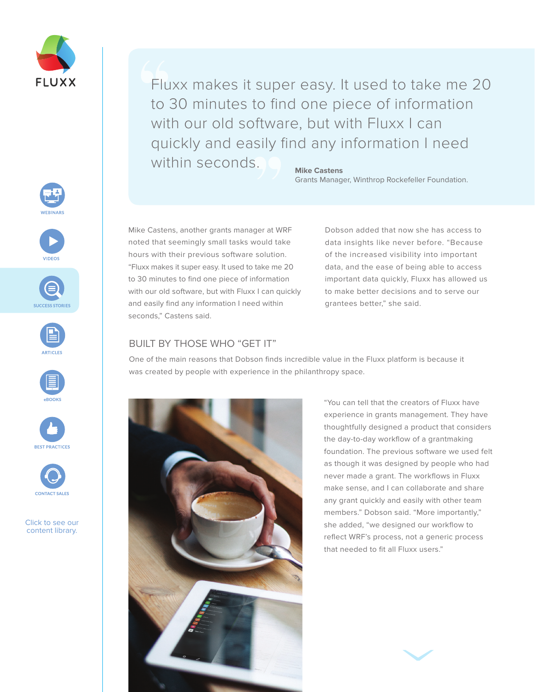

Click to see our content library.

**ARTICLE** 

Fluxx makes it super easy. It used to take me 20 to 30 minutes to find one piece of information with our old software, but with Fluxx I can quickly and easily find any information I need within seconds.

#### **Mike Castens**

Grants Manager, Winthrop Rockefeller Foundation.

Mike Castens, another grants manager at WRF noted that seemingly small tasks would take hours with their previous software solution. "Fluxx makes it super easy. It used to take me 20 to 30 minutes to find one piece of information with our old software, but with Fluxx I can quickly and easily find any information I need within seconds," Castens said.

Dobson added that now she has access to data insights like never before. "Because of the increased visibility into important data, and the ease of being able to access important data quickly, Fluxx has allowed us to make better decisions and to serve our grantees better," she said.

#### BUILT BY THOSE WHO "GET IT"

One of the main reasons that Dobson finds incredible value in the Fluxx platform is because it was created by people with experience in the philanthropy space.



"You can tell that the creators of Fluxx have experience in grants management. They have thoughtfully designed a product that considers the day-to-day workflow of a grantmaking foundation. The previous software we used felt as though it was designed by people who had never made a grant. The workflows in Fluxx make sense, and I can collaborate and share any grant quickly and easily with other team members." Dobson said. "More importantly," she added, "we designed our workflow to reflect WRF's process, not a generic process that needed to fit all Fluxx users."